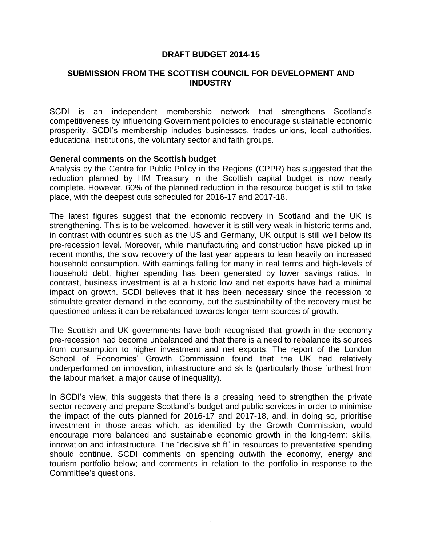## **DRAFT BUDGET 2014-15**

### **SUBMISSION FROM THE SCOTTISH COUNCIL FOR DEVELOPMENT AND INDUSTRY**

SCDI is an independent membership network that strengthens Scotland's competitiveness by influencing Government policies to encourage sustainable economic prosperity. SCDI's membership includes businesses, trades unions, local authorities, educational institutions, the voluntary sector and faith groups.

#### **General comments on the Scottish budget**

Analysis by the Centre for Public Policy in the Regions (CPPR) has suggested that the reduction planned by HM Treasury in the Scottish capital budget is now nearly complete. However, 60% of the planned reduction in the resource budget is still to take place, with the deepest cuts scheduled for 2016-17 and 2017-18.

The latest figures suggest that the economic recovery in Scotland and the UK is strengthening. This is to be welcomed, however it is still very weak in historic terms and, in contrast with countries such as the US and Germany, UK output is still well below its pre-recession level. Moreover, while manufacturing and construction have picked up in recent months, the slow recovery of the last year appears to lean heavily on increased household consumption. With earnings falling for many in real terms and high-levels of household debt, higher spending has been generated by lower savings ratios. In contrast, business investment is at a historic low and net exports have had a minimal impact on growth. SCDI believes that it has been necessary since the recession to stimulate greater demand in the economy, but the sustainability of the recovery must be questioned unless it can be rebalanced towards longer-term sources of growth.

The Scottish and UK governments have both recognised that growth in the economy pre-recession had become unbalanced and that there is a need to rebalance its sources from consumption to higher investment and net exports. The report of the London School of Economics' Growth Commission found that the UK had relatively underperformed on innovation, infrastructure and skills (particularly those furthest from the labour market, a major cause of inequality).

In SCDI's view, this suggests that there is a pressing need to strengthen the private sector recovery and prepare Scotland's budget and public services in order to minimise the impact of the cuts planned for 2016-17 and 2017-18, and, in doing so, prioritise investment in those areas which, as identified by the Growth Commission, would encourage more balanced and sustainable economic growth in the long-term: skills, innovation and infrastructure. The "decisive shift" in resources to preventative spending should continue. SCDI comments on spending outwith the economy, energy and tourism portfolio below; and comments in relation to the portfolio in response to the Committee's questions.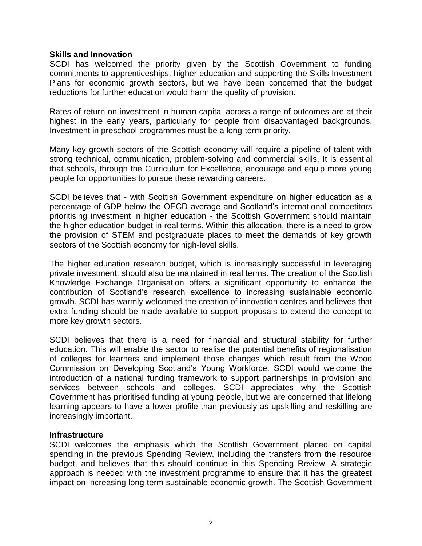#### **Skills and Innovation**

SCDI has welcomed the priority given by the Scottish Government to funding commitments to apprenticeships, higher education and supporting the Skills Investment Plans for economic growth sectors, but we have been concerned that the budget reductions for further education would harm the quality of provision.

Rates of return on investment in human capital across a range of outcomes are at their highest in the early years, particularly for people from disadvantaged backgrounds. Investment in preschool programmes must be a long-term priority.

Many key growth sectors of the Scottish economy will require a pipeline of talent with strong technical, communication, problem-solving and commercial skills. It is essential that schools, through the Curriculum for Excellence, encourage and equip more young people for opportunities to pursue these rewarding careers.

SCDI believes that - with Scottish Government expenditure on higher education as a percentage of GDP below the OECD average and Scotland's international competitors prioritising investment in higher education - the Scottish Government should maintain the higher education budget in real terms. Within this allocation, there is a need to grow the provision of STEM and postgraduate places to meet the demands of key growth sectors of the Scottish economy for high-level skills.

The higher education research budget, which is increasingly successful in leveraging private investment, should also be maintained in real terms. The creation of the Scottish Knowledge Exchange Organisation offers a significant opportunity to enhance the contribution of Scotland's research excellence to increasing sustainable economic growth. SCDI has warmly welcomed the creation of innovation centres and believes that extra funding should be made available to support proposals to extend the concept to more key growth sectors.

SCDI believes that there is a need for financial and structural stability for further education. This will enable the sector to realise the potential benefits of regionalisation of colleges for learners and implement those changes which result from the Wood Commission on Developing Scotland's Young Workforce. SCDI would welcome the introduction of a national funding framework to support partnerships in provision and services between schools and colleges. SCDI appreciates why the Scottish Government has prioritised funding at young people, but we are concerned that lifelong learning appears to have a lower profile than previously as upskilling and reskilling are increasingly important.

#### **Infrastructure**

SCDI welcomes the emphasis which the Scottish Government placed on capital spending in the previous Spending Review, including the transfers from the resource budget, and believes that this should continue in this Spending Review. A strategic approach is needed with the investment programme to ensure that it has the greatest impact on increasing long-term sustainable economic growth. The Scottish Government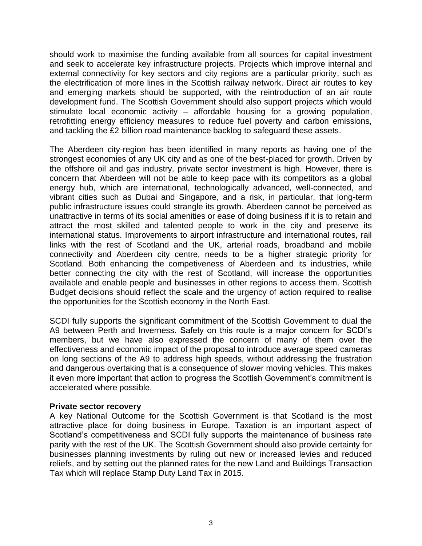should work to maximise the funding available from all sources for capital investment and seek to accelerate key infrastructure projects. Projects which improve internal and external connectivity for key sectors and city regions are a particular priority, such as the electrification of more lines in the Scottish railway network. Direct air routes to key and emerging markets should be supported, with the reintroduction of an air route development fund. The Scottish Government should also support projects which would stimulate local economic activity – affordable housing for a growing population, retrofitting energy efficiency measures to reduce fuel poverty and carbon emissions, and tackling the £2 billion road maintenance backlog to safeguard these assets.

The Aberdeen city-region has been identified in many reports as having one of the strongest economies of any UK city and as one of the best-placed for growth. Driven by the offshore oil and gas industry, private sector investment is high. However, there is concern that Aberdeen will not be able to keep pace with its competitors as a global energy hub, which are international, technologically advanced, well-connected, and vibrant cities such as Dubai and Singapore, and a risk, in particular, that long-term public infrastructure issues could strangle its growth. Aberdeen cannot be perceived as unattractive in terms of its social amenities or ease of doing business if it is to retain and attract the most skilled and talented people to work in the city and preserve its international status. Improvements to airport infrastructure and international routes, rail links with the rest of Scotland and the UK, arterial roads, broadband and mobile connectivity and Aberdeen city centre, needs to be a higher strategic priority for Scotland. Both enhancing the competiveness of Aberdeen and its industries, while better connecting the city with the rest of Scotland, will increase the opportunities available and enable people and businesses in other regions to access them. Scottish Budget decisions should reflect the scale and the urgency of action required to realise the opportunities for the Scottish economy in the North East.

SCDI fully supports the significant commitment of the Scottish Government to dual the A9 between Perth and Inverness. Safety on this route is a major concern for SCDI's members, but we have also expressed the concern of many of them over the effectiveness and economic impact of the proposal to introduce average speed cameras on long sections of the A9 to address high speeds, without addressing the frustration and dangerous overtaking that is a consequence of slower moving vehicles. This makes it even more important that action to progress the Scottish Government's commitment is accelerated where possible.

#### **Private sector recovery**

A key National Outcome for the Scottish Government is that Scotland is the most attractive place for doing business in Europe. Taxation is an important aspect of Scotland's competitiveness and SCDI fully supports the maintenance of business rate parity with the rest of the UK. The Scottish Government should also provide certainty for businesses planning investments by ruling out new or increased levies and reduced reliefs, and by setting out the planned rates for the new Land and Buildings Transaction Tax which will replace Stamp Duty Land Tax in 2015.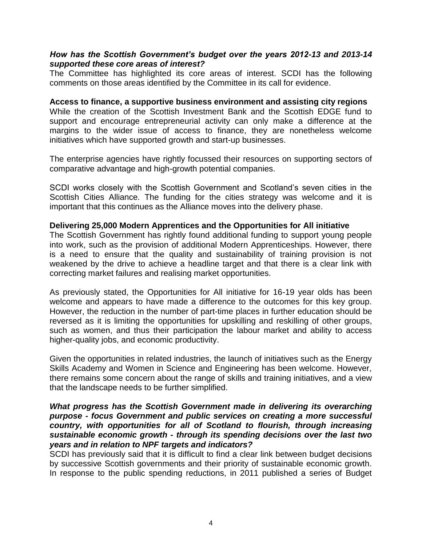### *How has the Scottish Government's budget over the years 2012-13 and 2013-14 supported these core areas of interest?*

The Committee has highlighted its core areas of interest. SCDI has the following comments on those areas identified by the Committee in its call for evidence.

**Access to finance, a supportive business environment and assisting city regions** While the creation of the Scottish Investment Bank and the Scottish EDGE fund to support and encourage entrepreneurial activity can only make a difference at the margins to the wider issue of access to finance, they are nonetheless welcome initiatives which have supported growth and start-up businesses.

The enterprise agencies have rightly focussed their resources on supporting sectors of comparative advantage and high-growth potential companies.

SCDI works closely with the Scottish Government and Scotland's seven cities in the Scottish Cities Alliance. The funding for the cities strategy was welcome and it is important that this continues as the Alliance moves into the delivery phase.

#### **Delivering 25,000 Modern Apprentices and the Opportunities for All initiative**

The Scottish Government has rightly found additional funding to support young people into work, such as the provision of additional Modern Apprenticeships. However, there is a need to ensure that the quality and sustainability of training provision is not weakened by the drive to achieve a headline target and that there is a clear link with correcting market failures and realising market opportunities.

As previously stated, the Opportunities for All initiative for 16-19 year olds has been welcome and appears to have made a difference to the outcomes for this key group. However, the reduction in the number of part-time places in further education should be reversed as it is limiting the opportunities for upskilling and reskilling of other groups, such as women, and thus their participation the labour market and ability to access higher-quality jobs, and economic productivity.

Given the opportunities in related industries, the launch of initiatives such as the Energy Skills Academy and Women in Science and Engineering has been welcome. However, there remains some concern about the range of skills and training initiatives, and a view that the landscape needs to be further simplified.

### *What progress has the Scottish Government made in delivering its overarching purpose - focus Government and public services on creating a more successful country, with opportunities for all of Scotland to flourish, through increasing sustainable economic growth - through its spending decisions over the last two years and in relation to NPF targets and indicators?*

SCDI has previously said that it is difficult to find a clear link between budget decisions by successive Scottish governments and their priority of sustainable economic growth. In response to the public spending reductions, in 2011 published a series of Budget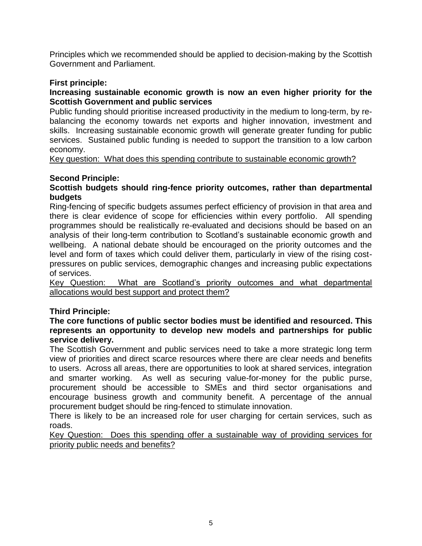Principles which we recommended should be applied to decision-making by the Scottish Government and Parliament.

# **First principle:**

## **Increasing sustainable economic growth is now an even higher priority for the Scottish Government and public services**

Public funding should prioritise increased productivity in the medium to long-term, by rebalancing the economy towards net exports and higher innovation, investment and skills. Increasing sustainable economic growth will generate greater funding for public services. Sustained public funding is needed to support the transition to a low carbon economy.

Key question: What does this spending contribute to sustainable economic growth?

# **Second Principle:**

## **Scottish budgets should ring-fence priority outcomes, rather than departmental budgets**

Ring-fencing of specific budgets assumes perfect efficiency of provision in that area and there is clear evidence of scope for efficiencies within every portfolio. All spending programmes should be realistically re-evaluated and decisions should be based on an analysis of their long-term contribution to Scotland's sustainable economic growth and wellbeing. A national debate should be encouraged on the priority outcomes and the level and form of taxes which could deliver them, particularly in view of the rising costpressures on public services, demographic changes and increasing public expectations of services.

Key Question: What are Scotland's priority outcomes and what departmental allocations would best support and protect them?

## **Third Principle:**

## **The core functions of public sector bodies must be identified and resourced. This represents an opportunity to develop new models and partnerships for public service delivery.**

The Scottish Government and public services need to take a more strategic long term view of priorities and direct scarce resources where there are clear needs and benefits to users. Across all areas, there are opportunities to look at shared services, integration and smarter working. As well as securing value-for-money for the public purse, procurement should be accessible to SMEs and third sector organisations and encourage business growth and community benefit. A percentage of the annual procurement budget should be ring-fenced to stimulate innovation.

There is likely to be an increased role for user charging for certain services, such as roads.

Key Question: Does this spending offer a sustainable way of providing services for priority public needs and benefits?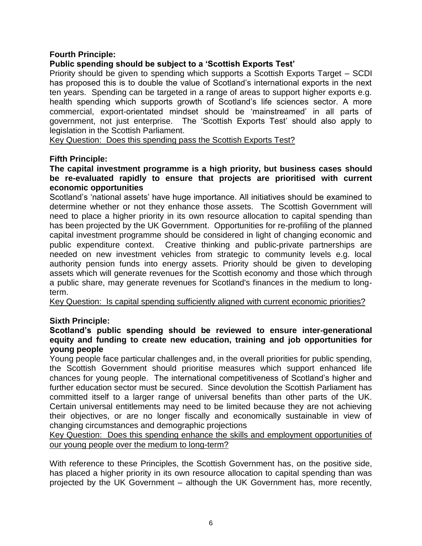## **Fourth Principle:**

## **Public spending should be subject to a 'Scottish Exports Test'**

Priority should be given to spending which supports a Scottish Exports Target – SCDI has proposed this is to double the value of Scotland's international exports in the next ten years. Spending can be targeted in a range of areas to support higher exports e.g. health spending which supports growth of Scotland's life sciences sector. A more commercial, export-orientated mindset should be 'mainstreamed' in all parts of government, not just enterprise. The 'Scottish Exports Test' should also apply to legislation in the Scottish Parliament.

Key Question: Does this spending pass the Scottish Exports Test?

## **Fifth Principle:**

### **The capital investment programme is a high priority, but business cases should be re-evaluated rapidly to ensure that projects are prioritised with current economic opportunities**

Scotland's 'national assets' have huge importance. All initiatives should be examined to determine whether or not they enhance those assets. The Scottish Government will need to place a higher priority in its own resource allocation to capital spending than has been projected by the UK Government. Opportunities for re-profiling of the planned capital investment programme should be considered in light of changing economic and public expenditure context. Creative thinking and public-private partnerships are needed on new investment vehicles from strategic to community levels e.g. local authority pension funds into energy assets. Priority should be given to developing assets which will generate revenues for the Scottish economy and those which through a public share, may generate revenues for Scotland's finances in the medium to longterm.

Key Question: Is capital spending sufficiently aligned with current economic priorities?

## **Sixth Principle:**

## **Scotland's public spending should be reviewed to ensure inter-generational equity and funding to create new education, training and job opportunities for young people**

Young people face particular challenges and, in the overall priorities for public spending, the Scottish Government should prioritise measures which support enhanced life chances for young people. The international competitiveness of Scotland's higher and further education sector must be secured. Since devolution the Scottish Parliament has committed itself to a larger range of universal benefits than other parts of the UK. Certain universal entitlements may need to be limited because they are not achieving their objectives, or are no longer fiscally and economically sustainable in view of changing circumstances and demographic projections

Key Question: Does this spending enhance the skills and employment opportunities of our young people over the medium to long-term?

With reference to these Principles, the Scottish Government has, on the positive side, has placed a higher priority in its own resource allocation to capital spending than was projected by the UK Government – although the UK Government has, more recently,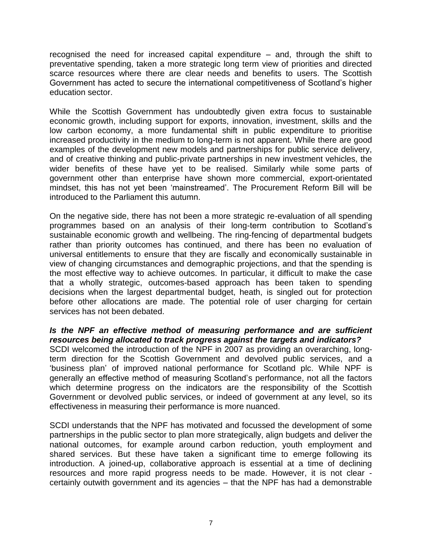recognised the need for increased capital expenditure – and, through the shift to preventative spending, taken a more strategic long term view of priorities and directed scarce resources where there are clear needs and benefits to users. The Scottish Government has acted to secure the international competitiveness of Scotland's higher education sector.

While the Scottish Government has undoubtedly given extra focus to sustainable economic growth, including support for exports, innovation, investment, skills and the low carbon economy, a more fundamental shift in public expenditure to prioritise increased productivity in the medium to long-term is not apparent. While there are good examples of the development new models and partnerships for public service delivery, and of creative thinking and public-private partnerships in new investment vehicles, the wider benefits of these have yet to be realised. Similarly while some parts of government other than enterprise have shown more commercial, export-orientated mindset, this has not yet been 'mainstreamed'. The Procurement Reform Bill will be introduced to the Parliament this autumn.

On the negative side, there has not been a more strategic re-evaluation of all spending programmes based on an analysis of their long-term contribution to Scotland's sustainable economic growth and wellbeing. The ring-fencing of departmental budgets rather than priority outcomes has continued, and there has been no evaluation of universal entitlements to ensure that they are fiscally and economically sustainable in view of changing circumstances and demographic projections, and that the spending is the most effective way to achieve outcomes. In particular, it difficult to make the case that a wholly strategic, outcomes-based approach has been taken to spending decisions when the largest departmental budget, heath, is singled out for protection before other allocations are made. The potential role of user charging for certain services has not been debated.

## *Is the NPF an effective method of measuring performance and are sufficient resources being allocated to track progress against the targets and indicators?*

SCDI welcomed the introduction of the NPF in 2007 as providing an overarching, longterm direction for the Scottish Government and devolved public services, and a 'business plan' of improved national performance for Scotland plc. While NPF is generally an effective method of measuring Scotland's performance, not all the factors which determine progress on the indicators are the responsibility of the Scottish Government or devolved public services, or indeed of government at any level, so its effectiveness in measuring their performance is more nuanced.

SCDI understands that the NPF has motivated and focussed the development of some partnerships in the public sector to plan more strategically, align budgets and deliver the national outcomes, for example around carbon reduction, youth employment and shared services. But these have taken a significant time to emerge following its introduction. A joined-up, collaborative approach is essential at a time of declining resources and more rapid progress needs to be made. However, it is not clear certainly outwith government and its agencies – that the NPF has had a demonstrable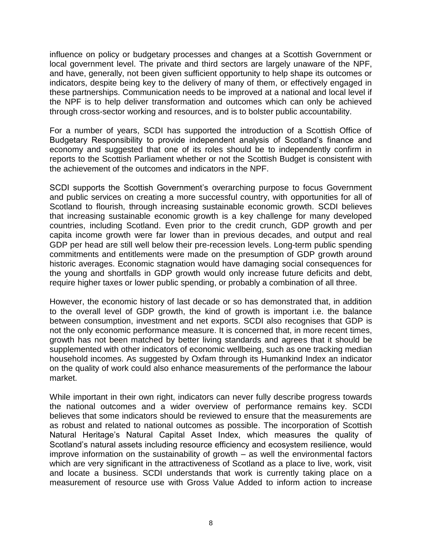influence on policy or budgetary processes and changes at a Scottish Government or local government level. The private and third sectors are largely unaware of the NPF, and have, generally, not been given sufficient opportunity to help shape its outcomes or indicators, despite being key to the delivery of many of them, or effectively engaged in these partnerships. Communication needs to be improved at a national and local level if the NPF is to help deliver transformation and outcomes which can only be achieved through cross-sector working and resources, and is to bolster public accountability.

For a number of years, SCDI has supported the introduction of a Scottish Office of Budgetary Responsibility to provide independent analysis of Scotland's finance and economy and suggested that one of its roles should be to independently confirm in reports to the Scottish Parliament whether or not the Scottish Budget is consistent with the achievement of the outcomes and indicators in the NPF.

SCDI supports the Scottish Government's overarching purpose to focus Government and public services on creating a more successful country, with opportunities for all of Scotland to flourish, through increasing sustainable economic growth. SCDI believes that increasing sustainable economic growth is a key challenge for many developed countries, including Scotland. Even prior to the credit crunch, GDP growth and per capita income growth were far lower than in previous decades, and output and real GDP per head are still well below their pre-recession levels. Long-term public spending commitments and entitlements were made on the presumption of GDP growth around historic averages. Economic stagnation would have damaging social consequences for the young and shortfalls in GDP growth would only increase future deficits and debt, require higher taxes or lower public spending, or probably a combination of all three.

However, the economic history of last decade or so has demonstrated that, in addition to the overall level of GDP growth, the kind of growth is important i.e. the balance between consumption, investment and net exports. SCDI also recognises that GDP is not the only economic performance measure. It is concerned that, in more recent times, growth has not been matched by better living standards and agrees that it should be supplemented with other indicators of economic wellbeing, such as one tracking median household incomes. As suggested by Oxfam through its Humankind Index an indicator on the quality of work could also enhance measurements of the performance the labour market.

While important in their own right, indicators can never fully describe progress towards the national outcomes and a wider overview of performance remains key. SCDI believes that some indicators should be reviewed to ensure that the measurements are as robust and related to national outcomes as possible. The incorporation of Scottish Natural Heritage's Natural Capital Asset Index, which measures the quality of Scotland's natural assets including resource efficiency and ecosystem resilience, would improve information on the sustainability of growth – as well the environmental factors which are very significant in the attractiveness of Scotland as a place to live, work, visit and locate a business. SCDI understands that work is currently taking place on a measurement of resource use with Gross Value Added to inform action to increase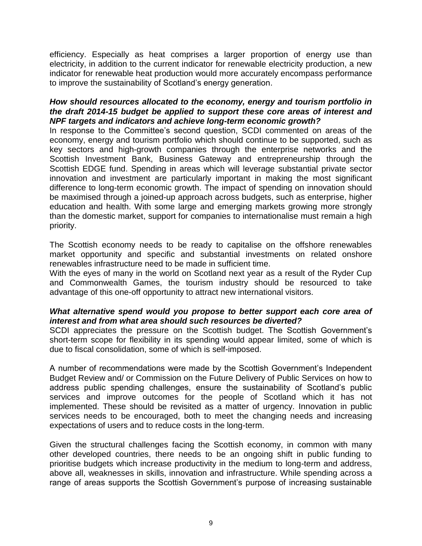efficiency. Especially as heat comprises a larger proportion of energy use than electricity, in addition to the current indicator for renewable electricity production, a new indicator for renewable heat production would more accurately encompass performance to improve the sustainability of Scotland's energy generation.

## *How should resources allocated to the economy, energy and tourism portfolio in the draft 2014-15 budget be applied to support these core areas of interest and NPF targets and indicators and achieve long-term economic growth?*

In response to the Committee's second question, SCDI commented on areas of the economy, energy and tourism portfolio which should continue to be supported, such as key sectors and high-growth companies through the enterprise networks and the Scottish Investment Bank, Business Gateway and entrepreneurship through the Scottish EDGE fund. Spending in areas which will leverage substantial private sector innovation and investment are particularly important in making the most significant difference to long-term economic growth. The impact of spending on innovation should be maximised through a joined-up approach across budgets, such as enterprise, higher education and health. With some large and emerging markets growing more strongly than the domestic market, support for companies to internationalise must remain a high priority.

The Scottish economy needs to be ready to capitalise on the offshore renewables market opportunity and specific and substantial investments on related onshore renewables infrastructure need to be made in sufficient time.

With the eyes of many in the world on Scotland next year as a result of the Ryder Cup and Commonwealth Games, the tourism industry should be resourced to take advantage of this one-off opportunity to attract new international visitors.

## *What alternative spend would you propose to better support each core area of interest and from what area should such resources be diverted?*

SCDI appreciates the pressure on the Scottish budget. The Scottish Government's short-term scope for flexibility in its spending would appear limited, some of which is due to fiscal consolidation, some of which is self-imposed.

A number of recommendations were made by the Scottish Government's Independent Budget Review and/ or Commission on the Future Delivery of Public Services on how to address public spending challenges, ensure the sustainability of Scotland's public services and improve outcomes for the people of Scotland which it has not implemented. These should be revisited as a matter of urgency. Innovation in public services needs to be encouraged, both to meet the changing needs and increasing expectations of users and to reduce costs in the long-term.

Given the structural challenges facing the Scottish economy, in common with many other developed countries, there needs to be an ongoing shift in public funding to prioritise budgets which increase productivity in the medium to long-term and address, above all, weaknesses in skills, innovation and infrastructure. While spending across a range of areas supports the Scottish Government's purpose of increasing sustainable